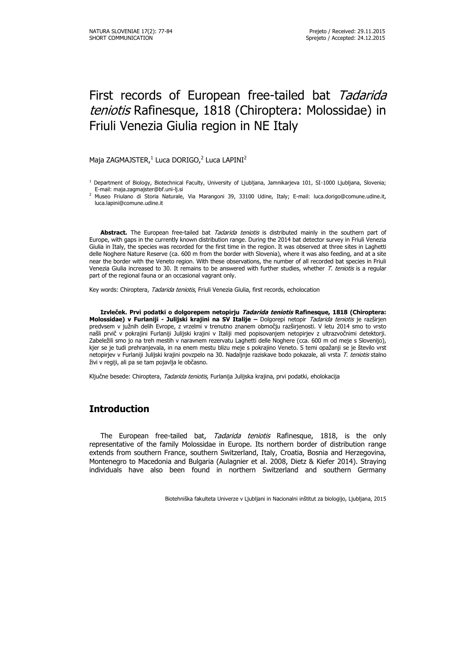# First records of European free-tailed bat Tadarida teniotis Rafinesque, 1818 (Chiroptera: Molossidae) in Friuli Venezia Giulia region in NE Italy

#### Maja ZAGMAJSTER, $^1$  Luca DORIGO, $^2$  Luca LAPINI $^2$

<sup>1</sup> Department of Biology, Biotechnical Faculty, University of Ljubljana, Jamnikarjeva 101, SI-1000 Ljubljana, Slovenia; E-mail: maja.zagmajster@bf.uni-lj.si

<sup>2</sup> Museo Friulano di Storia Naturale, Via Marangoni 39, 33100 Udine, Italy; E-mail: luca.dorigo@comune.udine.it, luca.lapini@comune.udine.it

Abstract. The European free-tailed bat Tadarida teniotis is distributed mainly in the southern part of Europe, with gaps in the currently known distribution range. During the 2014 bat detector survey in Friuli Venezia Giulia in Italy, the species was recorded for the first time in the region. It was observed at three sites in Laghetti delle Noghere Nature Reserve (ca. 600 m from the border with Slovenia), where it was also feeding, and at a site near the border with the Veneto region. With these observations, the number of all recorded bat species in Friuli Venezia Giulia increased to 30. It remains to be answered with further studies, whether T. teniotis is a regular part of the regional fauna or an occasional vagrant only.

Key words: Chiroptera, Tadarida teniotis, Friuli Venezia Giulia, first records, echolocation

**Izvleček. Prvi podatki o dolgorepem netopirju Tadarida teniotis Rafinesque, 1818 (Chiroptera: Molossidae) v Furlaniji - Julijski krajini na SV Italije –** Dolgorepi netopir Tadarida teniotis je razširjen predvsem v južnih delih Evrope, z vrzelmi v trenutno znanem območju razširjenosti. V letu 2014 smo to vrsto našli prvič v pokrajini Furlaniji Julijski krajini v Italiji med popisovanjem netopirjev z ultrazvočnimi detektorji. Zabeležili smo jo na treh mestih v naravnem rezervatu Laghetti delle Noghere (cca. 600 m od meje s Slovenijo), kjer se je tudi prehranjevala, in na enem mestu blizu meje s pokrajino Veneto. S temi opažanji se je število vrst netopirjev v Furlaniji Julijski krajini povzpelo na 30. Nadaljnje raziskave bodo pokazale, ali vrsta T. teniotis stalno živi v regiji, ali pa se tam pojavlja le občasno.

Ključne besede: Chiroptera, Tadarida teniotis, Furlanija Julijska krajina, prvi podatki, eholokacija

## **Introduction**

The European free-tailed bat, Tadarida teniotis Rafinesque, 1818, is the only representative of the family Molossidae in Europe. Its northern border of distribution range extends from southern France, southern Switzerland, Italy, Croatia, Bosnia and Herzegovina, Montenegro to Macedonia and Bulgaria (Aulagnier et al. 2008, Dietz & Kiefer 2014). Straying individuals have also been found in northern Switzerland and southern Germany

Biotehniška fakulteta Univerze v Ljubljani in Nacionalni inštitut za biologijo, Ljubljana, 2015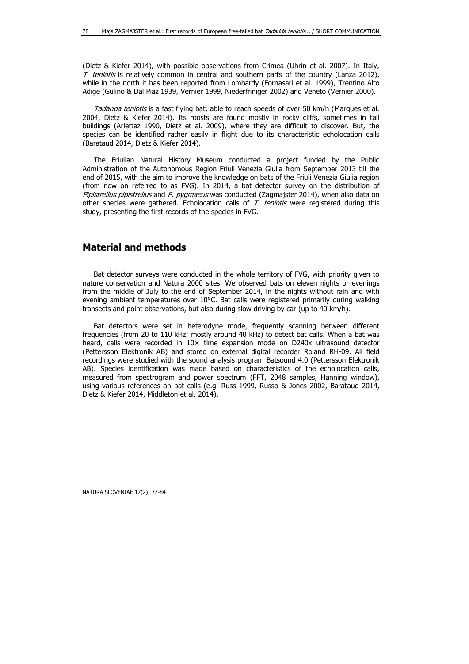(Dietz & Kiefer 2014), with possible observations from Crimea (Uhrin et al. 2007). In Italy, T. teniotis is relatively common in central and southern parts of the country (Lanza 2012), while in the north it has been reported from Lombardy (Fornasari et al. 1999), Trentino Alto Adige (Gulino & Dal Piaz 1939, Vernier 1999, Niederfriniger 2002) and Veneto (Vernier 2000).

Tadarida teniotis is a fast flying bat, able to reach speeds of over 50 km/h (Marques et al. 2004, Dietz & Kiefer 2014). Its roosts are found mostly in rocky cliffs, sometimes in tall buildings (Arlettaz 1990, Dietz et al. 2009), where they are difficult to discover. But, the species can be identified rather easily in flight due to its characteristic echolocation calls (Barataud 2014, Dietz & Kiefer 2014).

The Friulian Natural History Museum conducted a project funded by the Public Administration of the Autonomous Region Friuli Venezia Giulia from September 2013 till the end of 2015, with the aim to improve the knowledge on bats of the Friuli Venezia Giulia region (from now on referred to as FVG). In 2014, a bat detector survey on the distribution of Pipistrellus pipistrellus and P. pygmaeus was conducted (Zagmajster 2014), when also data on other species were gathered. Echolocation calls of  $T$ . teniotis were registered during this study, presenting the first records of the species in FVG.

## **Material and methods**

Bat detector surveys were conducted in the whole territory of FVG, with priority given to nature conservation and Natura 2000 sites. We observed bats on eleven nights or evenings from the middle of July to the end of September 2014, in the nights without rain and with evening ambient temperatures over 10°C. Bat calls were registered primarily during walking transects and point observations, but also during slow driving by car (up to 40 km/h).

Bat detectors were set in heterodyne mode, frequently scanning between different frequencies (from 20 to 110 kHz; mostly around 40 kHz) to detect bat calls. When a bat was heard, calls were recorded in  $10\times$  time expansion mode on D240x ultrasound detector (Pettersson Elektronik AB) and stored on external digital recorder Roland RH-09. All field recordings were studied with the sound analysis program Batsound 4.0 (Pettersson Elektronik AB). Species identification was made based on characteristics of the echolocation calls, measured from spectrogram and power spectrum (FFT, 2048 samples, Hanning window), using various references on bat calls (e.g. Russ 1999, Russo & Jones 2002, Barataud 2014, Dietz & Kiefer 2014, Middleton et al. 2014).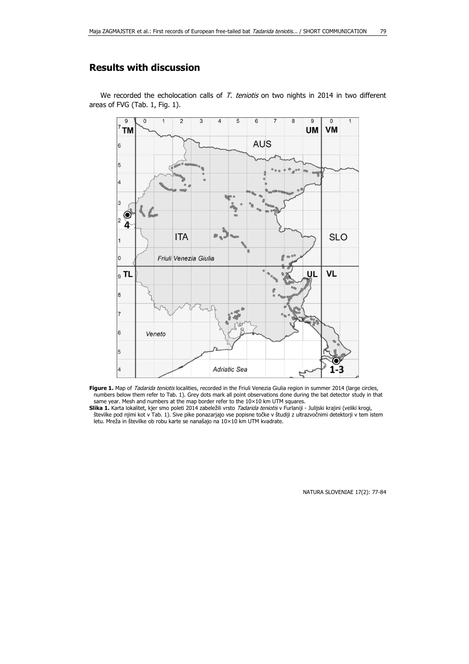# **Results with discussion**

We recorded the echolocation calls of  $T$ . teniotis on two nights in 2014 in two different areas of FVG (Tab. 1, Fig. 1).



Figure 1. Map of *Tadarida teniotis* localities, recorded in the Friuli Venezia Giulia region in summer 2014 (large circles, numbers below them refer to Tab. 1). Grey dots mark all point observations done during the bat detector study in that same year. Mesh and numbers at the map border refer to the 10×10 km UTM squares.

Slika 1. Karta lokalitet, kjer smo poleti 2014 zabeležili vrsto *Tadarida teniotis* v Furlaniji - Julijski krajini (veliki krogi, številke pod njimi kot v Tab. 1). Sive pike ponazarjajo vse popisne točke v študiji z ultrazvočnimi detektorji v tem istem letu. Mreža in številke ob robu karte se nanašajo na 10×10 km UTM kvadrate.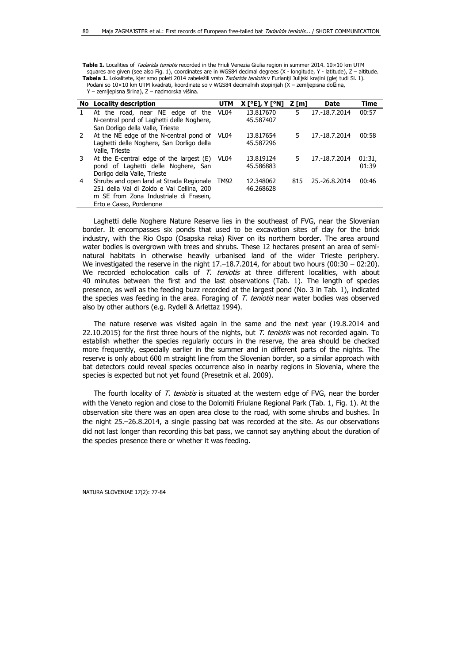Table 1. Localities of Tadarida teniotis recorded in the Friuli Venezia Giulia region in summer 2014. 10×10 km UTM squares are given (see also Fig. 1), coordinates are in WGS84 decimal degrees (X - longitude, Y - latitude), Z – altitude. **Tabela 1.** Lokalitete, kjer smo poleti 2014 zabeležili vrsto Tadarida teniotis v Furlaniji Julijski krajini (glej tudi Sl. 1). Podani so 10×10 km UTM kvadrati, koordinate so v WGS84 decimalnih stopinjah (X – zemljepisna dolžina, Y – zemljepisna širina), Z – nadmorska višina.

|               | No Locality description                       | <b>UTM</b>       | <b>X</b> [°E], Y [°N] | Z [m] | <b>Date</b>   | Time   |
|---------------|-----------------------------------------------|------------------|-----------------------|-------|---------------|--------|
|               | At the road, near NE edge of the              | VL <sub>04</sub> | 13.817670             | 5.    | 17.-18.7.2014 | 00:57  |
|               | N-central pond of Laghetti delle Noghere,     |                  | 45.587407             |       |               |        |
|               | San Dorligo della Valle, Trieste              |                  |                       |       |               |        |
| $\mathcal{P}$ | At the NE edge of the N-central pond of       | VL04             | 13.817654             | 5.    | 17.-18.7.2014 | 00:58  |
|               | Laghetti delle Noghere, San Dorligo della     |                  | 45.587296             |       |               |        |
|               | Valle, Trieste                                |                  |                       |       |               |        |
| 3             | At the E-central edge of the largest $(E)$    | VL <sub>04</sub> | 13.819124             | 5.    | 17.-18.7.2014 | 01:31, |
|               | pond of Laghetti delle Noghere, San           |                  | 45.586883             |       |               | 01:39  |
|               | Dorligo della Valle, Trieste                  |                  |                       |       |               |        |
| 4             | Shrubs and open land at Strada Regionale TM92 |                  | 12.348062             | 815   | 25.-26.8.2014 | 00:46  |
|               | 251 della Val di Zoldo e Val Cellina, 200     |                  | 46.268628             |       |               |        |
|               | m SE from Zona Industriale di Frasein,        |                  |                       |       |               |        |
|               | Erto e Casso, Pordenone                       |                  |                       |       |               |        |

Laghetti delle Noghere Nature Reserve lies in the southeast of FVG, near the Slovenian border. It encompasses six ponds that used to be excavation sites of clay for the brick industry, with the Rio Ospo (Osapska reka) River on its northern border. The area around water bodies is overgrown with trees and shrubs. These 12 hectares present an area of seminatural habitats in otherwise heavily urbanised land of the wider Trieste periphery. We investigated the reserve in the night  $17.-18.7.2014$ , for about two hours (00:30 - 02:20). We recorded echolocation calls of  $T$ . teniotis at three different localities, with about 40 minutes between the first and the last observations (Tab. 1). The length of species presence, as well as the feeding buzz recorded at the largest pond (No. 3 in Tab. 1), indicated the species was feeding in the area. Foraging of T. teniotis near water bodies was observed also by other authors (e.g. Rydell & Arlettaz 1994).

The nature reserve was visited again in the same and the next year (19.8.2014 and 22.10.2015) for the first three hours of the nights, but  $T$ . teniotis was not recorded again. To establish whether the species regularly occurs in the reserve, the area should be checked more frequently, especially earlier in the summer and in different parts of the nights. The reserve is only about 600 m straight line from the Slovenian border, so a similar approach with bat detectors could reveal species occurrence also in nearby regions in Slovenia, where the species is expected but not yet found (Presetnik et al. 2009).

The fourth locality of T. teniotis is situated at the western edge of FVG, near the border with the Veneto region and close to the Dolomiti Friulane Regional Park (Tab. 1, Fig. 1). At the observation site there was an open area close to the road, with some shrubs and bushes. In the night 25.–26.8.2014, a single passing bat was recorded at the site. As our observations did not last longer than recording this bat pass, we cannot say anything about the duration of the species presence there or whether it was feeding.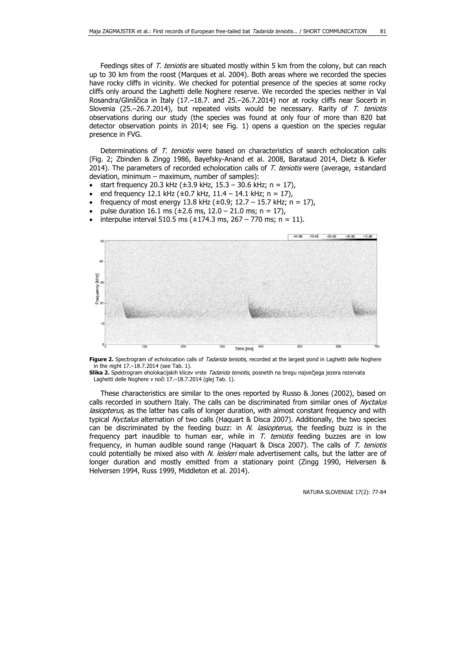Feedings sites of T. teniotis are situated mostly within 5 km from the colony, but can reach up to 30 km from the roost (Marques et al. 2004). Both areas where we recorded the species have rocky cliffs in vicinity. We checked for potential presence of the species at some rocky cliffs only around the Laghetti delle Noghere reserve. We recorded the species neither in Val Rosandra/Glinščica in Italy (17.–18.7. and 25.–26.7.2014) nor at rocky cliffs near Socerb in Slovenia (25.–26.7.2014), but repeated visits would be necessary. Rarity of T. teniotis observations during our study (the species was found at only four of more than 820 bat detector observation points in 2014; see Fig. 1) opens a question on the species regular presence in FVG.

Determinations of T. teniotis were based on characteristics of search echolocation calls (Fig. 2; Zbinden & Zingg 1986, Bayefsky-Anand et al. 2008, Barataud 2014, Dietz & Kiefer 2014). The parameters of recorded echolocation calls of  $T$ . teniotis were (average,  $\pm$ standard deviation, minimum – maximum, number of samples):

- start frequency 20.3 kHz (±3.9 kHz, 15.3 30.6 kHz; n = 17),
- end frequency 12.1 kHz ( $\pm$ 0.7 kHz, 11.4 14.1 kHz; n = 17),
- frequency of most energy 13.8 kHz ( $\pm$ 0.9; 12.7 15.7 kHz; n = 17),
- pulse duration 16.1 ms ( $\pm 2.6$  ms, 12.0 21.0 ms; n = 17),
- interpulse interval 510.5 ms ( $\pm$ 174.3 ms, 267 770 ms; n = 11).



Figure 2. Spectrogram of echolocation calls of Tadarida teniotis, recorded at the largest pond in Laghetti delle Noghere in the night 17.–18.7.2014 (see Tab. 1).

**Slika 2.** Spektrogram eholokacijskih klicev vrste Tadarida teniotis, posnetih na bregu največjega jezera rezervata Laghetti delle Noghere v noči 17.–18.7.2014 (glej Tab. 1).

These characteristics are similar to the ones reported by Russo & Jones (2002), based on calls recorded in southern Italy. The calls can be discriminated from similar ones of Nyctalus lasiopterus, as the latter has calls of longer duration, with almost constant frequency and with typical Nyctalus alternation of two calls (Haquart & Disca 2007). Additionally, the two species can be discriminated by the feeding buzz: in  $N$ . lasiopterus, the feeding buzz is in the frequency part inaudible to human ear, while in  $T$ . teniotis feeding buzzes are in low frequency, in human audible sound range (Haquart & Disca 2007). The calls of T. teniotis could potentially be mixed also with N. leisleri male advertisement calls, but the latter are of longer duration and mostly emitted from a stationary point (Zingg 1990, Helversen & Helversen 1994, Russ 1999, Middleton et al. 2014).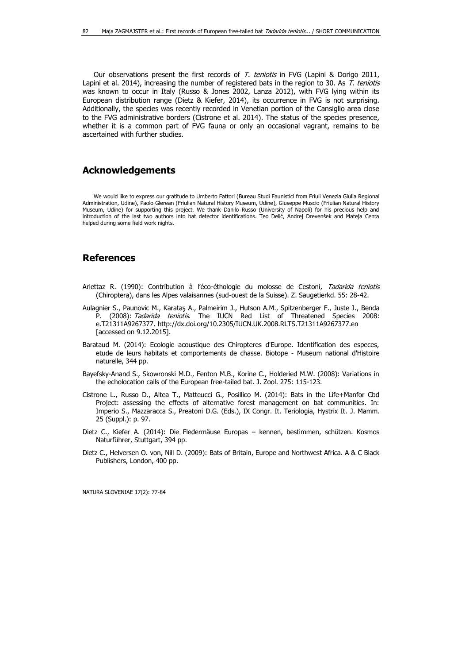Our observations present the first records of T. teniotis in FVG (Lapini & Dorigo 2011, Lapini et al. 2014), increasing the number of registered bats in the region to 30. As T. teniotis was known to occur in Italy (Russo & Jones 2002, Lanza 2012), with FVG lying within its European distribution range (Dietz & Kiefer, 2014), its occurrence in FVG is not surprising. Additionally, the species was recently recorded in Venetian portion of the Cansiglio area close to the FVG administrative borders (Cistrone et al. 2014). The status of the species presence, whether it is a common part of FVG fauna or only an occasional vagrant, remains to be ascertained with further studies.

#### **Acknowledgements**

We would like to express our gratitude to Umberto Fattori (Bureau Studi Faunistici from Friuli Venezia Giulia Regional Administration, Udine), Paolo Glerean (Friulian Natural History Museum, Udine), Giuseppe Muscio (Friulian Natural History Museum, Udine) for supporting this project. We thank Danilo Russo (University of Napoli) for his precious help and introduction of the last two authors into bat detector identifications. Teo Delić, Andrej Drevenšek and Mateja Centa helped during some field work nights.

### **References**

- Arlettaz R. (1990): Contribution à l'éco-éthologie du molosse de Cestoni, Tadarida teniotis (Chiroptera), dans les Alpes valaisannes (sud-ouest de la Suisse). Z. Saugetierkd. 55: 28-42.
- Aulagnier S., Paunovic M., Karataş A., Palmeirim J., Hutson A.M., Spitzenberger F., Juste J., Benda P. (2008): Tadarida teniotis. The IUCN Red List of Threatened Species 2008: e.T21311A9267377. http://dx.doi.org/10.2305/IUCN.UK.2008.RLTS.T21311A9267377.en [accessed on 9.12.2015].
- Barataud M. (2014): Ecologie acoustique des Chiropteres d'Europe. Identification des especes, etude de leurs habitats et comportements de chasse. Biotope - Museum national d'Histoire naturelle, 344 pp.
- Bayefsky-Anand S., Skowronski M.D., Fenton M.B., Korine C., Holderied M.W. (2008): Variations in the echolocation calls of the European free-tailed bat. J. Zool. 275: 115-123.
- Cistrone L., Russo D., Altea T., Matteucci G., Posillico M. (2014): Bats in the Life+Manfor Cbd Project: assessing the effects of alternative forest management on bat communities. In: Imperio S., Mazzaracca S., Preatoni D.G. (Eds.), IX Congr. It. Teriologia, Hystrix It. J. Mamm. 25 (Suppl.): p. 97.
- Dietz C., Kiefer A. (2014): Die Fledermäuse Europas kennen, bestimmen, schützen. Kosmos Naturführer, Stuttgart, 394 pp.
- Dietz C., Helversen O. von, Nill D. (2009): Bats of Britain, Europe and Northwest Africa. A & C Black Publishers, London, 400 pp.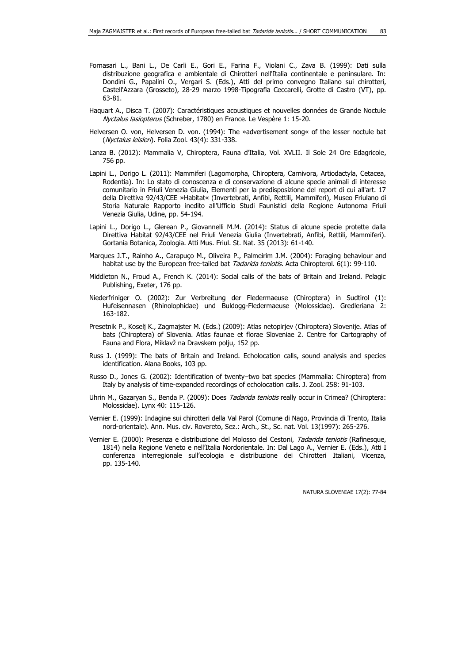- Fornasari L., Bani L., De Carli E., Gori E., Farina F., Violani C., Zava B. (1999): Dati sulla distribuzione geografica e ambientale di Chirotteri nell'Italia continentale e peninsulare. In: Dondini G., Papalini O., Vergari S. (Eds.), Atti del primo convegno Italiano sui chirotteri, Castell'Azzara (Grosseto), 28-29 marzo 1998-Tipografia Ceccarelli, Grotte di Castro (VT), pp. 63-81.
- Haquart A., Disca T. (2007): Caractéristiques acoustiques et nouvelles données de Grande Noctule Nyctalus lasiopterus (Schreber, 1780) en France. Le Vespère 1: 15-20.
- Helversen O. von, Helversen D. von. (1994): The »advertisement song« of the lesser noctule bat (Nyctalus leisleri). Folia Zool. 43(4): 331-338.
- Lanza B. (2012): Mammalia V, Chiroptera, Fauna d'Italia, Vol. XVLII. Il Sole 24 Ore Edagricole, 756 pp.
- Lapini L., Dorigo L. (2011): Mammiferi (Lagomorpha, Chiroptera, Carnivora, Artiodactyla, Cetacea, Rodentia). In: Lo stato di conoscenza e di conservazione di alcune specie animali di interesse comunitario in Friuli Venezia Giulia, Elementi per la predisposizione del report di cui all'art. 17 della Direttiva 92/43/CEE »Habitat« (Invertebrati, Anfibi, Rettili, Mammiferi), Museo Friulano di Storia Naturale Rapporto inedito all'Ufficio Studi Faunistici della Regione Autonoma Friuli Venezia Giulia, Udine, pp. 54-194.
- Lapini L., Dorigo L., Glerean P., Giovannelli M.M. (2014): Status di alcune specie protette dalla Direttiva Habitat 92/43/CEE nel Friuli Venezia Giulia (Invertebrati, Anfibi, Rettili, Mammiferi). Gortania Botanica, Zoologia. Atti Mus. Friul. St. Nat. 35 (2013): 61-140.
- Marques J.T., Rainho A., Carapuço M., Oliveira P., Palmeirim J.M. (2004): Foraging behaviour and habitat use by the European free-tailed bat Tadarida teniotis. Acta Chiropterol. 6(1): 99-110.
- Middleton N., Froud A., French K. (2014): Social calls of the bats of Britain and Ireland. Pelagic Publishing, Exeter, 176 pp.
- Niederfriniger O. (2002): Zur Verbreitung der Fledermaeuse (Chiroptera) in Sudtirol (1): Hufeisennasen (Rhinolophidae) und Buldogg-Fledermaeuse (Molossidae). Gredleriana 2: 163-182.
- Presetnik P., Koselj K., Zagmajster M. (Eds.) (2009): Atlas netopirjev (Chiroptera) Slovenije. Atlas of bats (Chiroptera) of Slovenia. Atlas faunae et florae Sloveniae 2. Centre for Cartography of Fauna and Flora, Miklavž na Dravskem polju, 152 pp.
- Russ J. (1999): The bats of Britain and Ireland. Echolocation calls, sound analysis and species identification. Alana Books, 103 pp.
- Russo D., Jones G. (2002): Identification of twenty–two bat species (Mammalia: Chiroptera) from Italy by analysis of time-expanded recordings of echolocation calls. J. Zool. 258: 91-103.
- Uhrin M., Gazaryan S., Benda P. (2009): Does Tadarida teniotis really occur in Crimea? (Chiroptera: Molossidae). Lynx 40: 115-126.
- Vernier E. (1999): Indagine sui chirotteri della Val Parol (Comune di Nago, Provincia di Trento, Italia nord-orientale). Ann. Mus. civ. Rovereto, Sez.: Arch., St., Sc. nat. Vol. 13(1997): 265-276.
- Vernier E. (2000): Presenza e distribuzione del Molosso del Cestoni, Tadarida teniotis (Rafinesque, 1814) nella Regione Veneto e nell'Italia Nordorientale. In: Dal Lago A., Vernier E. (Eds.), Atti I conferenza interregionale sull'ecologia e distribuzione dei Chirotteri Italiani, Vicenza, pp. 135-140.